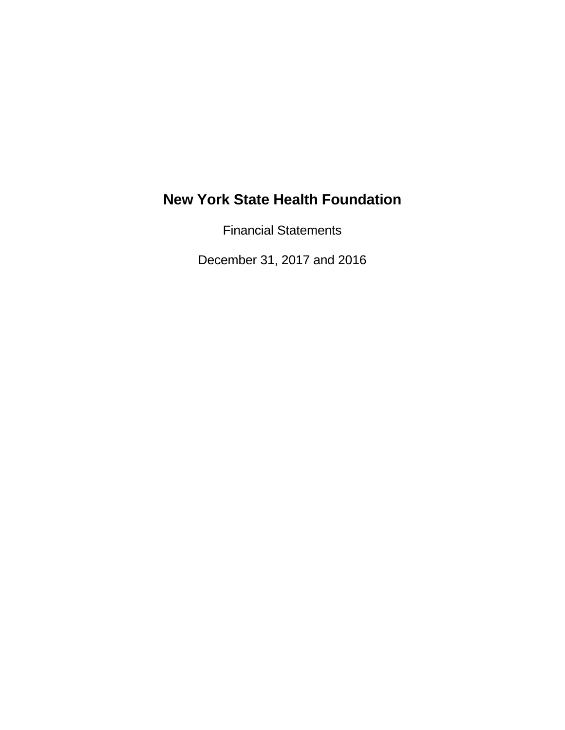Financial Statements

December 31, 2017 and 2016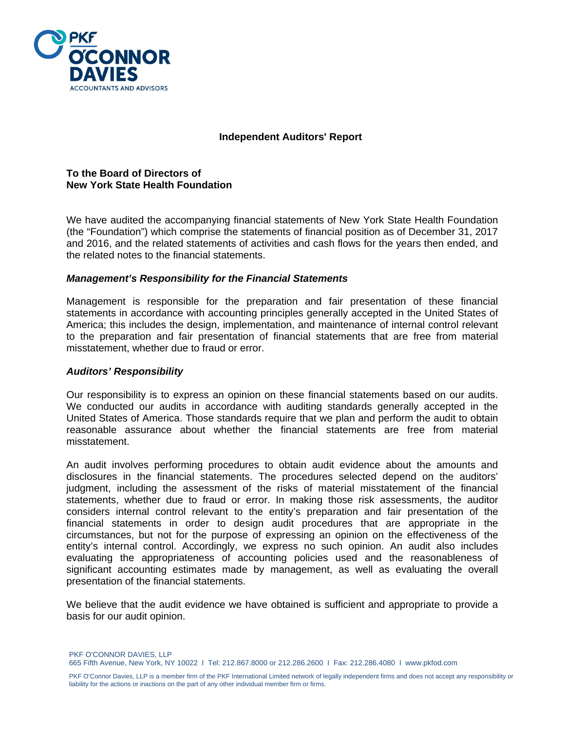

#### **Independent Auditors' Report**

#### **To the Board of Directors of New York State Health Foundation**

We have audited the accompanying financial statements of New York State Health Foundation (the "Foundation") which comprise the statements of financial position as of December 31, 2017 and 2016, and the related statements of activities and cash flows for the years then ended, and the related notes to the financial statements.

#### *Management's Responsibility for the Financial Statements*

Management is responsible for the preparation and fair presentation of these financial statements in accordance with accounting principles generally accepted in the United States of America; this includes the design, implementation, and maintenance of internal control relevant to the preparation and fair presentation of financial statements that are free from material misstatement, whether due to fraud or error.

#### *Auditors' Responsibility*

Our responsibility is to express an opinion on these financial statements based on our audits. We conducted our audits in accordance with auditing standards generally accepted in the United States of America. Those standards require that we plan and perform the audit to obtain reasonable assurance about whether the financial statements are free from material misstatement.

An audit involves performing procedures to obtain audit evidence about the amounts and disclosures in the financial statements. The procedures selected depend on the auditors' judgment, including the assessment of the risks of material misstatement of the financial statements, whether due to fraud or error. In making those risk assessments, the auditor considers internal control relevant to the entity's preparation and fair presentation of the financial statements in order to design audit procedures that are appropriate in the circumstances, but not for the purpose of expressing an opinion on the effectiveness of the entity's internal control. Accordingly, we express no such opinion. An audit also includes evaluating the appropriateness of accounting policies used and the reasonableness of significant accounting estimates made by management, as well as evaluating the overall presentation of the financial statements.

We believe that the audit evidence we have obtained is sufficient and appropriate to provide a basis for our audit opinion.

PKF O'CONNOR DAVIES, LLP

665 Fifth Avenue, New York, NY 10022 I Tel: 212.867.8000 or 212.286.2600 I Fax: 212.286.4080 I www.pkfod.com

PKF O'Connor Davies, LLP is a member firm of the PKF International Limited network of legally independent firms and does not accept any responsibility or liability for the actions or inactions on the part of any other individual member firm or firms.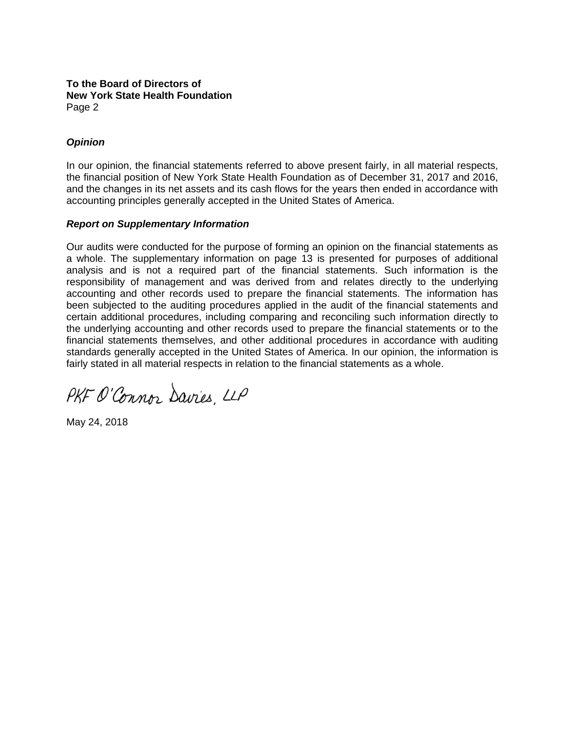#### **To the Board of Directors of New York State Health Foundation**  Page 2

# *Opinion*

In our opinion, the financial statements referred to above present fairly, in all material respects, the financial position of New York State Health Foundation as of December 31, 2017 and 2016, and the changes in its net assets and its cash flows for the years then ended in accordance with accounting principles generally accepted in the United States of America.

#### *Report on Supplementary Information*

Our audits were conducted for the purpose of forming an opinion on the financial statements as a whole. The supplementary information on page 13 is presented for purposes of additional analysis and is not a required part of the financial statements. Such information is the responsibility of management and was derived from and relates directly to the underlying accounting and other records used to prepare the financial statements. The information has been subjected to the auditing procedures applied in the audit of the financial statements and certain additional procedures, including comparing and reconciling such information directly to the underlying accounting and other records used to prepare the financial statements or to the financial statements themselves, and other additional procedures in accordance with auditing standards generally accepted in the United States of America. In our opinion, the information is fairly stated in all material respects in relation to the financial statements as a whole.

PKF O'Connor Davies, LLP

May 24, 2018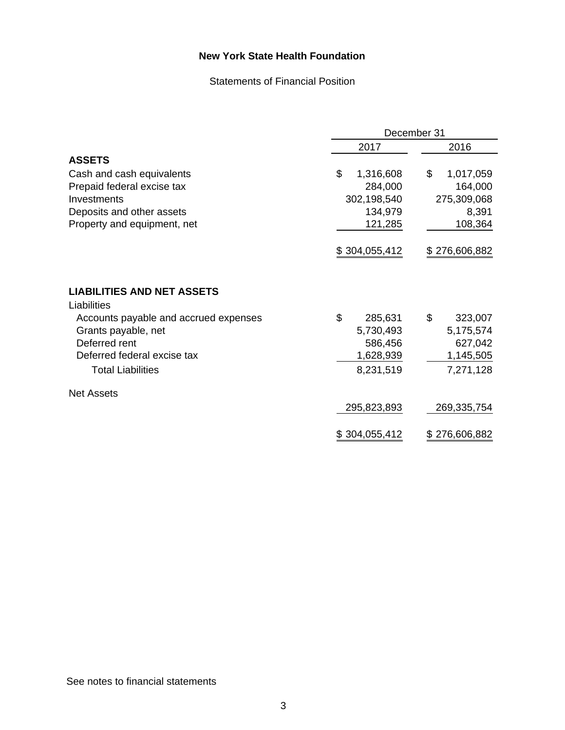Statements of Financial Position

|                                       |                 | December 31     |  |  |
|---------------------------------------|-----------------|-----------------|--|--|
|                                       | 2017            | 2016            |  |  |
| <b>ASSETS</b>                         |                 |                 |  |  |
| Cash and cash equivalents             | \$<br>1,316,608 | \$<br>1,017,059 |  |  |
| Prepaid federal excise tax            | 284,000         | 164,000         |  |  |
| Investments                           | 302,198,540     | 275,309,068     |  |  |
| Deposits and other assets             | 134,979         | 8,391           |  |  |
| Property and equipment, net           | 121,285         | 108,364         |  |  |
|                                       |                 |                 |  |  |
|                                       | \$304,055,412   | \$276,606,882   |  |  |
|                                       |                 |                 |  |  |
|                                       |                 |                 |  |  |
| <b>LIABILITIES AND NET ASSETS</b>     |                 |                 |  |  |
| Liabilities                           |                 |                 |  |  |
| Accounts payable and accrued expenses | \$<br>285,631   | \$<br>323,007   |  |  |
| Grants payable, net                   | 5,730,493       | 5,175,574       |  |  |
| Deferred rent                         | 586,456         | 627,042         |  |  |
| Deferred federal excise tax           | 1,628,939       | 1,145,505       |  |  |
| <b>Total Liabilities</b>              | 8,231,519       | 7,271,128       |  |  |
| <b>Net Assets</b>                     |                 |                 |  |  |
|                                       | 295,823,893     | 269,335,754     |  |  |
|                                       | \$304,055,412   | \$276,606,882   |  |  |

See notes to financial statements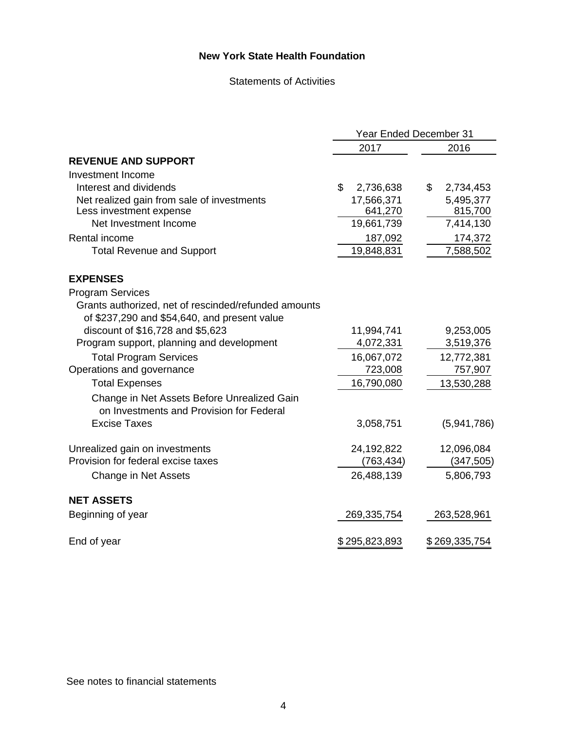#### Statements of Activities

|                                                      | <b>Year Ended December 31</b> |                 |  |
|------------------------------------------------------|-------------------------------|-----------------|--|
|                                                      | 2017                          | 2016            |  |
| <b>REVENUE AND SUPPORT</b>                           |                               |                 |  |
| Investment Income                                    |                               |                 |  |
| Interest and dividends                               | \$<br>2,736,638               | \$<br>2,734,453 |  |
| Net realized gain from sale of investments           | 17,566,371                    | 5,495,377       |  |
| Less investment expense                              | 641,270                       | 815,700         |  |
| Net Investment Income                                | 19,661,739                    | 7,414,130       |  |
| Rental income                                        | 187,092                       | 174,372         |  |
| <b>Total Revenue and Support</b>                     | 19,848,831                    | 7,588,502       |  |
| <b>EXPENSES</b>                                      |                               |                 |  |
| <b>Program Services</b>                              |                               |                 |  |
| Grants authorized, net of rescinded/refunded amounts |                               |                 |  |
| of \$237,290 and \$54,640, and present value         |                               |                 |  |
| discount of \$16,728 and \$5,623                     | 11,994,741                    | 9,253,005       |  |
| Program support, planning and development            | 4,072,331                     | 3,519,376       |  |
| <b>Total Program Services</b>                        | 16,067,072                    | 12,772,381      |  |
| Operations and governance                            | 723,008                       | 757,907         |  |
| <b>Total Expenses</b>                                | 16,790,080                    | 13,530,288      |  |
| Change in Net Assets Before Unrealized Gain          |                               |                 |  |
| on Investments and Provision for Federal             |                               |                 |  |
| <b>Excise Taxes</b>                                  | 3,058,751                     | (5,941,786)     |  |
| Unrealized gain on investments                       | 24,192,822                    | 12,096,084      |  |
| Provision for federal excise taxes                   | (763, 434)                    | (347, 505)      |  |
| Change in Net Assets                                 | 26,488,139                    | 5,806,793       |  |
| <b>NET ASSETS</b>                                    |                               |                 |  |
| Beginning of year                                    | 269,335,754                   | 263,528,961     |  |
| End of year                                          | \$295,823,893                 | \$269,335,754   |  |

See notes to financial statements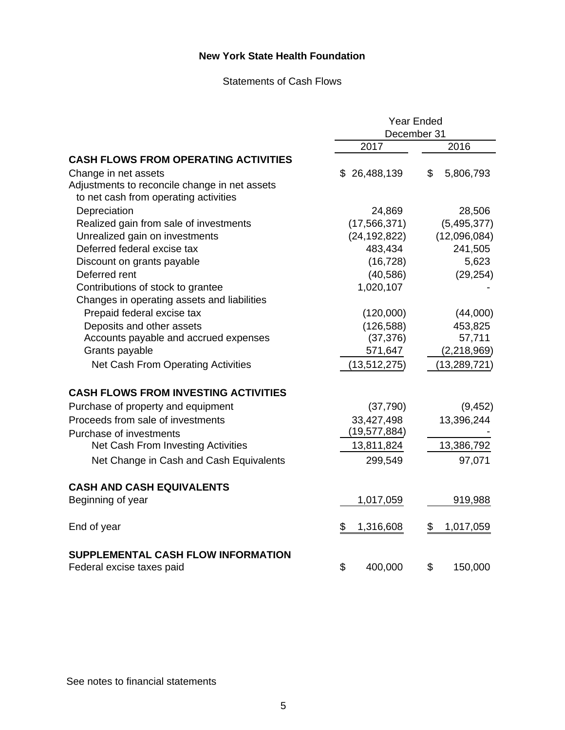#### Statements of Cash Flows

|                                               | <b>Year Ended</b> |                 |  |
|-----------------------------------------------|-------------------|-----------------|--|
|                                               | December 31       |                 |  |
|                                               | 2017              | 2016            |  |
| <b>CASH FLOWS FROM OPERATING ACTIVITIES</b>   |                   |                 |  |
| Change in net assets                          | \$26,488,139      | \$<br>5,806,793 |  |
| Adjustments to reconcile change in net assets |                   |                 |  |
| to net cash from operating activities         |                   |                 |  |
| Depreciation                                  | 24,869            | 28,506          |  |
| Realized gain from sale of investments        | (17, 566, 371)    | (5,495,377)     |  |
| Unrealized gain on investments                | (24, 192, 822)    | (12,096,084)    |  |
| Deferred federal excise tax                   | 483,434           | 241,505         |  |
| Discount on grants payable                    | (16, 728)         | 5,623           |  |
| Deferred rent                                 | (40, 586)         | (29, 254)       |  |
| Contributions of stock to grantee             | 1,020,107         |                 |  |
| Changes in operating assets and liabilities   |                   |                 |  |
| Prepaid federal excise tax                    | (120,000)         | (44,000)        |  |
| Deposits and other assets                     | (126, 588)        | 453,825         |  |
| Accounts payable and accrued expenses         | (37, 376)         | 57,711          |  |
| Grants payable                                | 571,647           | (2, 218, 969)   |  |
| Net Cash From Operating Activities            | (13, 512, 275)    | (13, 289, 721)  |  |
| <b>CASH FLOWS FROM INVESTING ACTIVITIES</b>   |                   |                 |  |
| Purchase of property and equipment            | (37, 790)         | (9, 452)        |  |
| Proceeds from sale of investments             | 33,427,498        | 13,396,244      |  |
| Purchase of investments                       | (19, 577, 884)    |                 |  |
| Net Cash From Investing Activities            | 13,811,824        | 13,386,792      |  |
| Net Change in Cash and Cash Equivalents       | 299,549           | 97,071          |  |
| <b>CASH AND CASH EQUIVALENTS</b>              |                   |                 |  |
| Beginning of year                             | 1,017,059         | 919,988         |  |
| End of year                                   | \$<br>1,316,608   | 1,017,059<br>S. |  |
| SUPPLEMENTAL CASH FLOW INFORMATION            |                   |                 |  |
| Federal excise taxes paid                     | \$<br>400,000     | \$<br>150,000   |  |

See notes to financial statements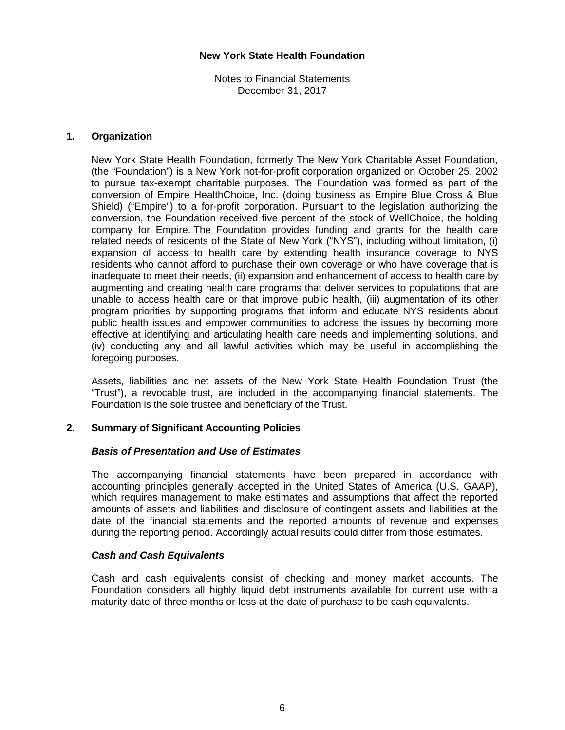Notes to Financial Statements December 31, 2017

## **1. Organization**

New York State Health Foundation, formerly The New York Charitable Asset Foundation, (the "Foundation") is a New York not-for-profit corporation organized on October 25, 2002 to pursue tax-exempt charitable purposes. The Foundation was formed as part of the conversion of Empire HealthChoice, Inc. (doing business as Empire Blue Cross & Blue Shield) ("Empire") to a for-profit corporation. Pursuant to the legislation authorizing the conversion, the Foundation received five percent of the stock of WellChoice, the holding company for Empire. The Foundation provides funding and grants for the health care related needs of residents of the State of New York ("NYS"), including without limitation, (i) expansion of access to health care by extending health insurance coverage to NYS residents who cannot afford to purchase their own coverage or who have coverage that is inadequate to meet their needs, (ii) expansion and enhancement of access to health care by augmenting and creating health care programs that deliver services to populations that are unable to access health care or that improve public health, (iii) augmentation of its other program priorities by supporting programs that inform and educate NYS residents about public health issues and empower communities to address the issues by becoming more effective at identifying and articulating health care needs and implementing solutions, and (iv) conducting any and all lawful activities which may be useful in accomplishing the foregoing purposes.

Assets, liabilities and net assets of the New York State Health Foundation Trust (the "Trust"), a revocable trust, are included in the accompanying financial statements. The Foundation is the sole trustee and beneficiary of the Trust.

# **2. Summary of Significant Accounting Policies**

#### *Basis of Presentation and Use of Estimates*

The accompanying financial statements have been prepared in accordance with accounting principles generally accepted in the United States of America (U.S. GAAP), which requires management to make estimates and assumptions that affect the reported amounts of assets and liabilities and disclosure of contingent assets and liabilities at the date of the financial statements and the reported amounts of revenue and expenses during the reporting period. Accordingly actual results could differ from those estimates.

#### *Cash and Cash Equivalents*

Cash and cash equivalents consist of checking and money market accounts. The Foundation considers all highly liquid debt instruments available for current use with a maturity date of three months or less at the date of purchase to be cash equivalents.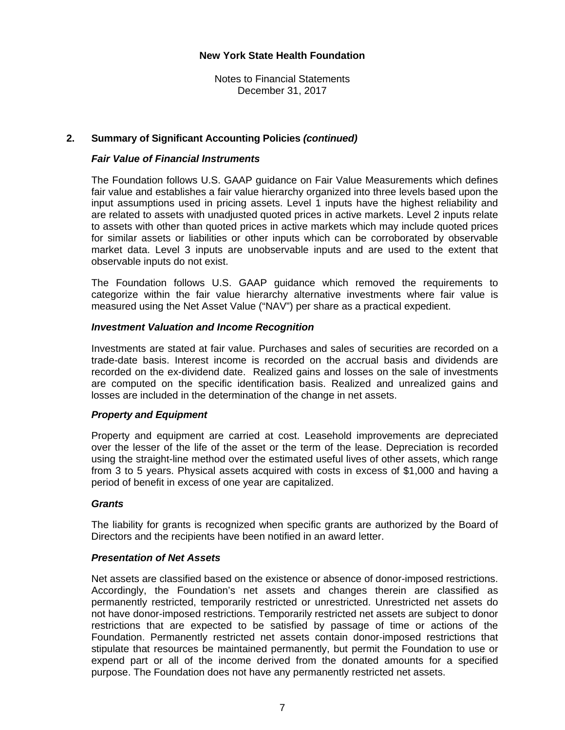Notes to Financial Statements December 31, 2017

#### **2. Summary of Significant Accounting Policies** *(continued)*

#### *Fair Value of Financial Instruments*

The Foundation follows U.S. GAAP guidance on Fair Value Measurements which defines fair value and establishes a fair value hierarchy organized into three levels based upon the input assumptions used in pricing assets. Level 1 inputs have the highest reliability and are related to assets with unadjusted quoted prices in active markets. Level 2 inputs relate to assets with other than quoted prices in active markets which may include quoted prices for similar assets or liabilities or other inputs which can be corroborated by observable market data. Level 3 inputs are unobservable inputs and are used to the extent that observable inputs do not exist.

The Foundation follows U.S. GAAP guidance which removed the requirements to categorize within the fair value hierarchy alternative investments where fair value is measured using the Net Asset Value ("NAV") per share as a practical expedient.

#### *Investment Valuation and Income Recognition*

Investments are stated at fair value. Purchases and sales of securities are recorded on a trade-date basis. Interest income is recorded on the accrual basis and dividends are recorded on the ex-dividend date. Realized gains and losses on the sale of investments are computed on the specific identification basis. Realized and unrealized gains and losses are included in the determination of the change in net assets.

#### *Property and Equipment*

Property and equipment are carried at cost. Leasehold improvements are depreciated over the lesser of the life of the asset or the term of the lease. Depreciation is recorded using the straight-line method over the estimated useful lives of other assets, which range from 3 to 5 years. Physical assets acquired with costs in excess of \$1,000 and having a period of benefit in excess of one year are capitalized.

#### *Grants*

 The liability for grants is recognized when specific grants are authorized by the Board of Directors and the recipients have been notified in an award letter.

#### *Presentation of Net Assets*

Net assets are classified based on the existence or absence of donor-imposed restrictions. Accordingly, the Foundation's net assets and changes therein are classified as permanently restricted, temporarily restricted or unrestricted. Unrestricted net assets do not have donor-imposed restrictions. Temporarily restricted net assets are subject to donor restrictions that are expected to be satisfied by passage of time or actions of the Foundation. Permanently restricted net assets contain donor-imposed restrictions that stipulate that resources be maintained permanently, but permit the Foundation to use or expend part or all of the income derived from the donated amounts for a specified purpose. The Foundation does not have any permanently restricted net assets.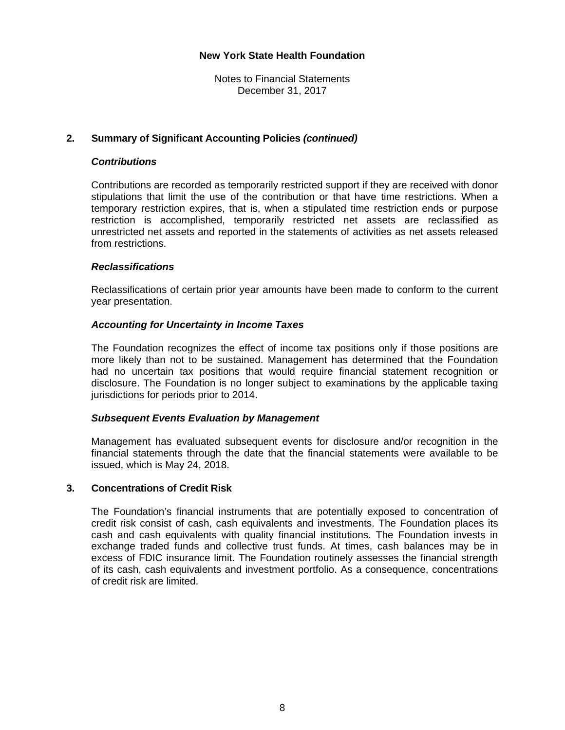Notes to Financial Statements December 31, 2017

#### **2. Summary of Significant Accounting Policies** *(continued)*

#### *Contributions*

Contributions are recorded as temporarily restricted support if they are received with donor stipulations that limit the use of the contribution or that have time restrictions. When a temporary restriction expires, that is, when a stipulated time restriction ends or purpose restriction is accomplished, temporarily restricted net assets are reclassified as unrestricted net assets and reported in the statements of activities as net assets released from restrictions.

#### *Reclassifications*

Reclassifications of certain prior year amounts have been made to conform to the current year presentation.

#### *Accounting for Uncertainty in Income Taxes*

The Foundation recognizes the effect of income tax positions only if those positions are more likely than not to be sustained. Management has determined that the Foundation had no uncertain tax positions that would require financial statement recognition or disclosure. The Foundation is no longer subject to examinations by the applicable taxing jurisdictions for periods prior to 2014.

#### *Subsequent Events Evaluation by Management*

Management has evaluated subsequent events for disclosure and/or recognition in the financial statements through the date that the financial statements were available to be issued, which is May 24, 2018.

# **3. Concentrations of Credit Risk**

The Foundation's financial instruments that are potentially exposed to concentration of credit risk consist of cash, cash equivalents and investments. The Foundation places its cash and cash equivalents with quality financial institutions. The Foundation invests in exchange traded funds and collective trust funds. At times, cash balances may be in excess of FDIC insurance limit. The Foundation routinely assesses the financial strength of its cash, cash equivalents and investment portfolio. As a consequence, concentrations of credit risk are limited.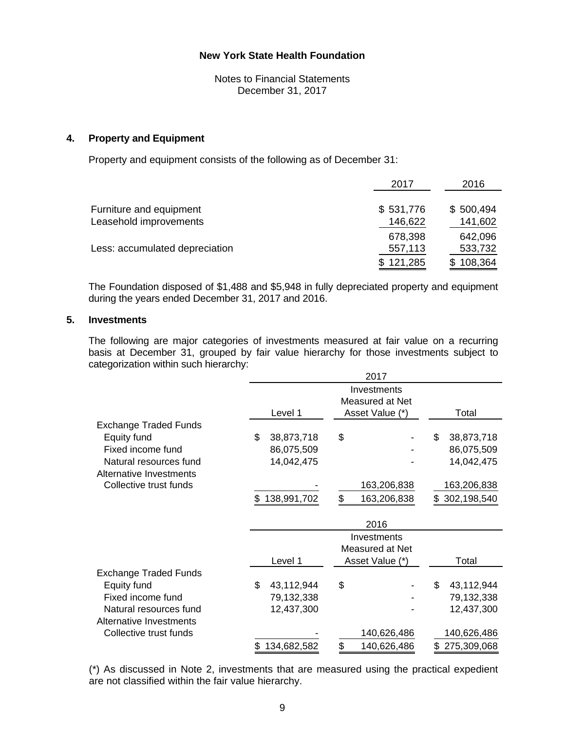Notes to Financial Statements December 31, 2017

#### **4. Property and Equipment**

Property and equipment consists of the following as of December 31:

|                                | 2017      | 2016      |
|--------------------------------|-----------|-----------|
| Furniture and equipment        | \$531,776 | \$500,494 |
| Leasehold improvements         | 146,622   | 141,602   |
|                                | 678,398   | 642,096   |
| Less: accumulated depreciation | 557,113   | 533,732   |
|                                | \$121,285 | 108,364   |

 The Foundation disposed of \$1,488 and \$5,948 in fully depreciated property and equipment during the years ended December 31, 2017 and 2016.

#### **5. Investments**

The following are major categories of investments measured at fair value on a recurring basis at December 31, grouped by fair value hierarchy for those investments subject to categorization within such hierarchy:

|                                | 2017              |                   |                   |  |  |
|--------------------------------|-------------------|-------------------|-------------------|--|--|
|                                |                   | Investments       |                   |  |  |
|                                |                   | Measured at Net   |                   |  |  |
|                                | Level 1           | Asset Value (*)   | Total             |  |  |
| <b>Exchange Traded Funds</b>   |                   |                   |                   |  |  |
| Equity fund                    | \$<br>38,873,718  | \$                | \$<br>38,873,718  |  |  |
| Fixed income fund              | 86,075,509        |                   | 86,075,509        |  |  |
| Natural resources fund         | 14,042,475        |                   | 14,042,475        |  |  |
| <b>Alternative Investments</b> |                   |                   |                   |  |  |
| Collective trust funds         |                   | 163,206,838       | 163,206,838       |  |  |
|                                | 138,991,702       | 163,206,838<br>\$ | 302,198,540<br>\$ |  |  |
|                                |                   | 2016              |                   |  |  |
|                                |                   | Investments       |                   |  |  |
|                                |                   | Measured at Net   |                   |  |  |
|                                | Level 1           | Asset Value (*)   | Total             |  |  |
| <b>Exchange Traded Funds</b>   |                   |                   |                   |  |  |
| Equity fund                    | \$<br>43,112,944  | \$                | \$<br>43,112,944  |  |  |
| Fixed income fund              | 79,132,338        |                   | 79,132,338        |  |  |
| Natural resources fund         | 12,437,300        |                   | 12,437,300        |  |  |
| <b>Alternative Investments</b> |                   |                   |                   |  |  |
| Collective trust funds         |                   | 140,626,486       | 140,626,486       |  |  |
|                                | 134,682,582<br>\$ | \$<br>140,626,486 | 275,309,068<br>\$ |  |  |

 (\*) As discussed in Note 2, investments that are measured using the practical expedient are not classified within the fair value hierarchy.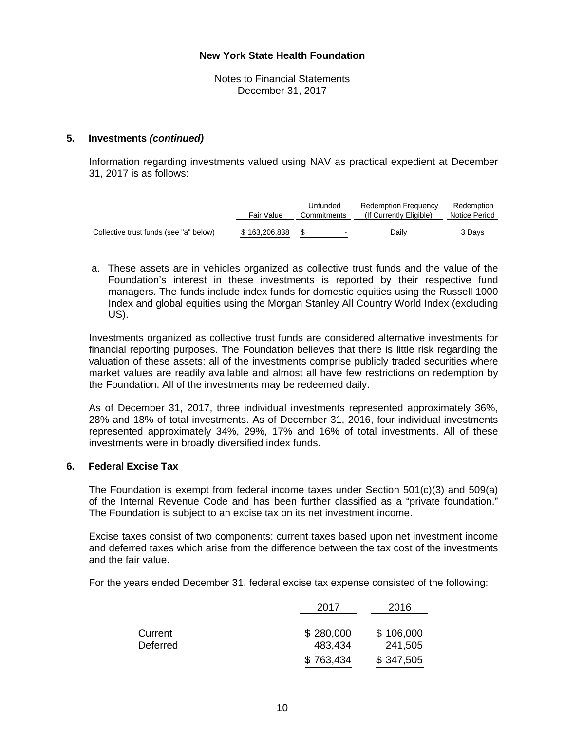Notes to Financial Statements December 31, 2017

#### **5. Investments** *(continued)*

 Information regarding investments valued using NAV as practical expedient at December 31, 2017 is as follows:

|                                        | Fair Value    | Unfunded<br>Commitments | <b>Redemption Frequency</b><br>(If Currently Eligible) | Redemption<br>Notice Period |
|----------------------------------------|---------------|-------------------------|--------------------------------------------------------|-----------------------------|
| Collective trust funds (see "a" below) | \$163,206,838 | $\sim$                  | Daily                                                  | 3 Davs                      |

a. These assets are in vehicles organized as collective trust funds and the value of the Foundation's interest in these investments is reported by their respective fund managers. The funds include index funds for domestic equities using the Russell 1000 Index and global equities using the Morgan Stanley All Country World Index (excluding US).

Investments organized as collective trust funds are considered alternative investments for financial reporting purposes. The Foundation believes that there is little risk regarding the valuation of these assets: all of the investments comprise publicly traded securities where market values are readily available and almost all have few restrictions on redemption by the Foundation. All of the investments may be redeemed daily.

As of December 31, 2017, three individual investments represented approximately 36%, 28% and 18% of total investments. As of December 31, 2016, four individual investments represented approximately 34%, 29%, 17% and 16% of total investments. All of these investments were in broadly diversified index funds.

## **6. Federal Excise Tax**

 The Foundation is exempt from federal income taxes under Section 501(c)(3) and 509(a) of the Internal Revenue Code and has been further classified as a "private foundation." The Foundation is subject to an excise tax on its net investment income.

 Excise taxes consist of two components: current taxes based upon net investment income and deferred taxes which arise from the difference between the tax cost of the investments and the fair value.

For the years ended December 31, federal excise tax expense consisted of the following:

|                     | 2017                 | 2016                 |
|---------------------|----------------------|----------------------|
| Current<br>Deferred | \$280,000<br>483,434 | \$106,000<br>241,505 |
|                     | \$763,434            | \$347,505            |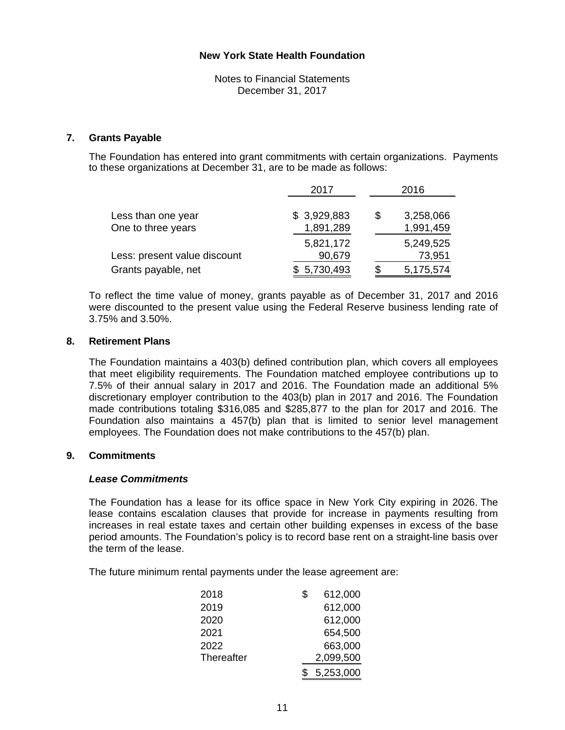Notes to Financial Statements December 31, 2017

#### **7. Grants Payable**

 The Foundation has entered into grant commitments with certain organizations. Payments to these organizations at December 31, are to be made as follows:

|                                          | 2017                     | 2016 |                        |
|------------------------------------------|--------------------------|------|------------------------|
| Less than one year<br>One to three years | \$3,929,883<br>1,891,289 | S    | 3,258,066<br>1,991,459 |
| Less: present value discount             | 5,821,172<br>90,679      |      | 5,249,525<br>73,951    |
| Grants payable, net                      | 5,730,493                |      | 5,175,574              |

 To reflect the time value of money, grants payable as of December 31, 2017 and 2016 were discounted to the present value using the Federal Reserve business lending rate of 3.75% and 3.50%.

#### **8. Retirement Plans**

 The Foundation maintains a 403(b) defined contribution plan, which covers all employees that meet eligibility requirements. The Foundation matched employee contributions up to 7.5% of their annual salary in 2017 and 2016. The Foundation made an additional 5% discretionary employer contribution to the 403(b) plan in 2017 and 2016. The Foundation made contributions totaling \$316,085 and \$285,877 to the plan for 2017 and 2016. The Foundation also maintains a 457(b) plan that is limited to senior level management employees. The Foundation does not make contributions to the 457(b) plan.

#### **9. Commitments**

#### *Lease Commitments*

The Foundation has a lease for its office space in New York City expiring in 2026. The lease contains escalation clauses that provide for increase in payments resulting from increases in real estate taxes and certain other building expenses in excess of the base period amounts. The Foundation's policy is to record base rent on a straight-line basis over the term of the lease.

The future minimum rental payments under the lease agreement are:

| 2018       | \$<br>612,000 |
|------------|---------------|
| 2019       | 612,000       |
| 2020       | 612,000       |
| 2021       | 654,500       |
| 2022       | 663,000       |
| Thereafter | 2,099,500     |
|            | 5,253,000     |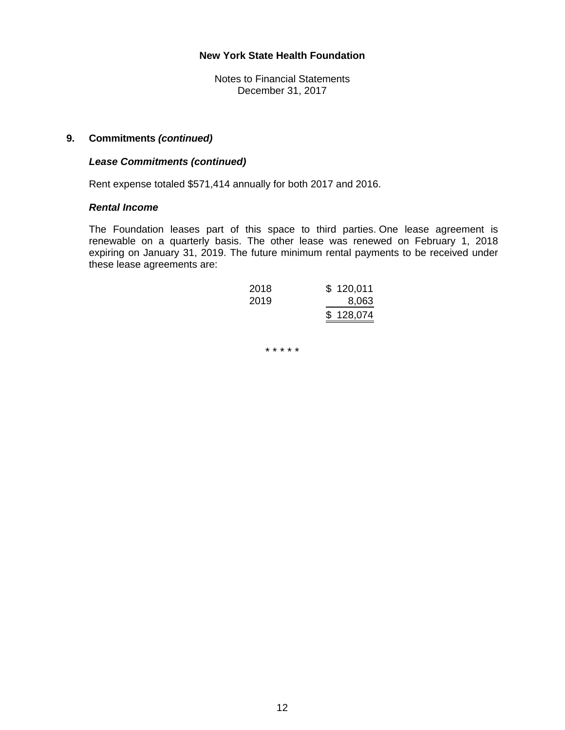Notes to Financial Statements December 31, 2017

#### **9. Commitments** *(continued)*

#### *Lease Commitments (continued)*

Rent expense totaled \$571,414 annually for both 2017 and 2016.

#### *Rental Income*

The Foundation leases part of this space to third parties. One lease agreement is renewable on a quarterly basis. The other lease was renewed on February 1, 2018 expiring on January 31, 2019. The future minimum rental payments to be received under these lease agreements are:

| 2018 | \$120,011 |
|------|-----------|
| 2019 | 8,063     |
|      | \$128,074 |

\* \* \* \* \*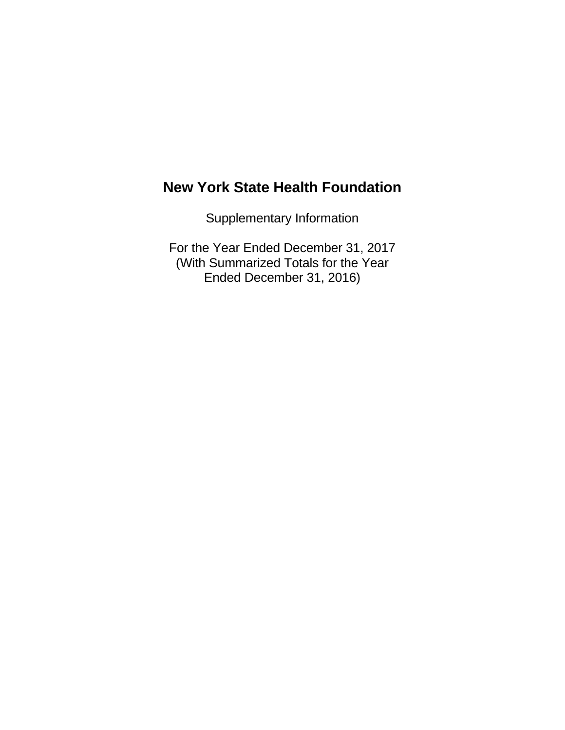Supplementary Information

For the Year Ended December 31, 2017 (With Summarized Totals for the Year Ended December 31, 2016)